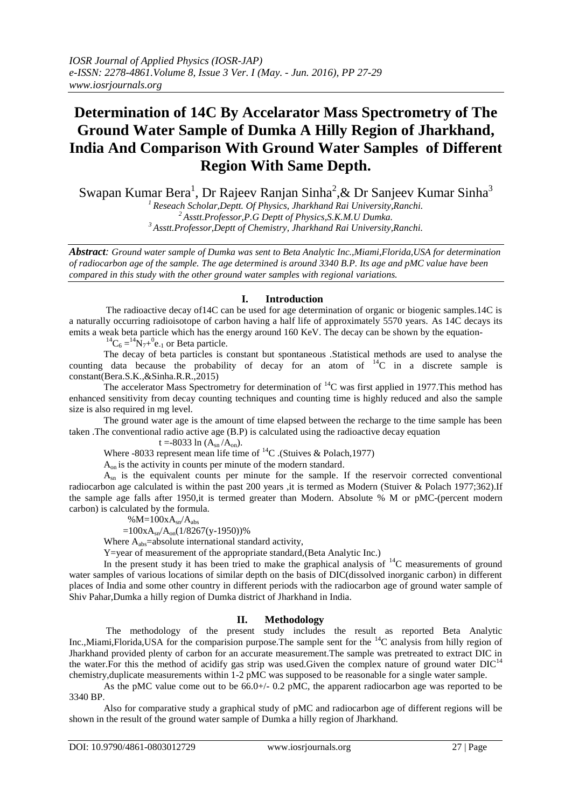# **Determination of 14C By Accelarator Mass Spectrometry of The Ground Water Sample of Dumka A Hilly Region of Jharkhand, India And Comparison With Ground Water Samples of Different Region With Same Depth.**

Swapan Kumar Bera<sup>1</sup>, Dr Rajeev Ranjan Sinha<sup>2</sup>,& Dr Sanjeev Kumar Sinha<sup>3</sup> *<sup>1</sup>Reseach Scholar,Deptt. Of Physics, Jharkhand Rai University,Ranchi.*

*<sup>2</sup>Asstt.Professor,P.G Deptt of Physics,S.K.M.U Dumka. <sup>3</sup>Asstt.Professor,Deptt of Chemistry, Jharkhand Rai University,Ranchi.*

*Abstract: Ground water sample of Dumka was sent to Beta Analytic Inc.,Miami,Florida,USA for determination of radiocarbon age of the sample. The age determined is around 3340 B.P. Its age and pMC value have been compared in this study with the other ground water samples with regional variations.*

## **I. Introduction**

The radioactive decay of14C can be used for age determination of organic or biogenic samples.14C is a naturally occurring radioisotope of carbon having a half life of approximately 5570 years. As 14C decays its emits a weak beta particle which has the energy around 160 KeV. The decay can be shown by the equation-

 ${}^{14}C_6 = {}^{14}N_7 + {}^{0}e_{-1}$  or Beta particle.

The decay of beta particles is constant but spontaneous .Statistical methods are used to analyse the counting data because the probability of decay for an atom of  ${}^{14}C$  in a discrete sample is constant(Bera.S.K.,&Sinha.R.R.,2015)

The accelerator Mass Spectrometry for determination of  ${}^{14}C$  was first applied in 1977. This method has enhanced sensitivity from decay counting techniques and counting time is highly reduced and also the sample size is also required in mg level.

The ground water age is the amount of time elapsed between the recharge to the time sample has been taken .The conventional radio active age (B.P) is calculated using the radioactive decay equation

$$
t = -8033 \ln (A_{sn}/A_{on}).
$$

Where -8033 represent mean life time of  ${}^{14}C$ . (Stuives & Polach,1977)

Aon is the activity in counts per minute of the modern standard.

 $A_{\rm sn}$  is the equivalent counts per minute for the sample. If the reservoir corrected conventional radiocarbon age calculated is within the past 200 years ,it is termed as Modern (Stuiver & Polach 1977;362).If the sample age falls after 1950,it is termed greater than Modern. Absolute % M or pMC-(percent modern carbon) is calculated by the formula.

 $%M=100xA_{sn}/A_{abs}$ 

 $=100xA_{sn}/A_{on}(1/8267(y-1950))%$ 

Where  $A_{\text{abs}}$ =absolute international standard activity,

Y=year of measurement of the appropriate standard,(Beta Analytic Inc.)

In the present study it has been tried to make the graphical analysis of  $^{14}$ C measurements of ground water samples of various locations of similar depth on the basis of DIC(dissolved inorganic carbon) in different places of India and some other country in different periods with the radiocarbon age of ground water sample of Shiv Pahar,Dumka a hilly region of Dumka district of Jharkhand in India.

## **II. Methodology**

The methodology of the present study includes the result as reported Beta Analytic Inc.,Miami,Florida,USA for the comparision purpose.The sample sent for the <sup>14</sup>C analysis from hilly region of Jharkhand provided plenty of carbon for an accurate measurement.The sample was pretreated to extract DIC in the water. For this the method of acidify gas strip was used. Given the complex nature of ground water  $DIC<sup>14</sup>$ chemistry,duplicate measurements within 1-2 pMC was supposed to be reasonable for a single water sample.

As the pMC value come out to be  $66.0+\div 0.2$  pMC, the apparent radiocarbon age was reported to be 3340 BP.

Also for comparative study a graphical study of pMC and radiocarbon age of different regions will be shown in the result of the ground water sample of Dumka a hilly region of Jharkhand.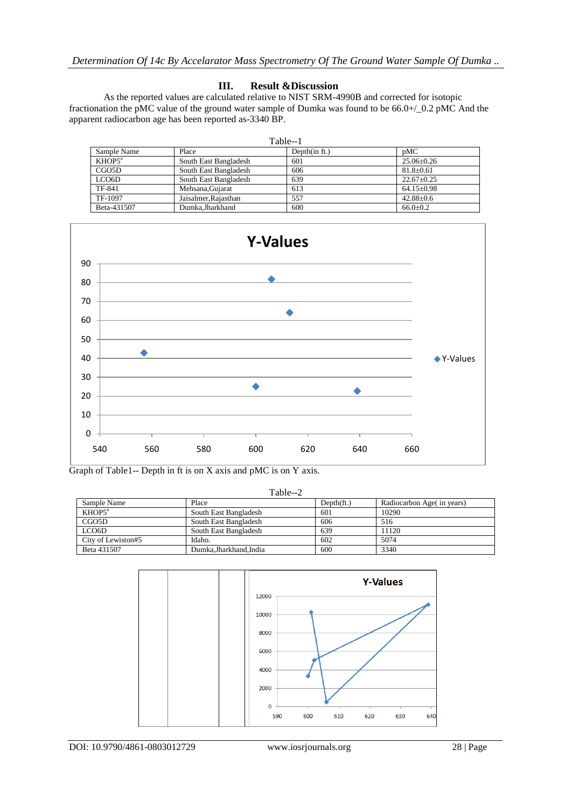## **III. Result &Discussion**

As the reported values are calculated relative to NIST SRM-4990B and corrected for isotopic fractionation the pMC value of the ground water sample of Dumka was found to be 66.0+/\_0.2 pMC And the apparent radiocarbon age has been reported as-3340 BP.

| Table--1           |                       |                  |                  |  |
|--------------------|-----------------------|------------------|------------------|--|
| Sample Name        | Place                 | Depth $(in ft.)$ | pMC              |  |
| KHOP5 <sup>a</sup> | South East Bangladesh | 601              | $25.06 \pm 0.26$ |  |
| CGO <sub>5</sub> D | South East Bangladesh | 606              | $81.8 \pm 0.61$  |  |
| LCO <sub>6</sub> D | South East Bangladesh | 639              | $22.67 \pm 0.25$ |  |
| TF-841             | Mehsana.Guiarat       | 613              | $64.15+0.98$     |  |
| TF-1097            | Jaisalmer, Rajasthan  | 557              | $42.88 \pm 0.6$  |  |
| Beta-431507        | Dumka.Jharkhand       | 600              | $66.0 \pm 0.2$   |  |



Graph of Table1-- Depth in ft is on X axis and pMC is on Y axis.

Table--2

| Sample Name        | Place                 | $Depth(f_t)$ | Radiocarbon Age (in years) |
|--------------------|-----------------------|--------------|----------------------------|
| KHOP5 <sup>a</sup> | South East Bangladesh | 601          | 10290                      |
| CGO5D              | South East Bangladesh | 606          | 516                        |
| LCO <sub>6</sub> D | South East Bangladesh | 639          | 11120                      |
| City of Lewiston#5 | Idaho.                | 602          | 5074                       |
| Beta 431507        | Dumka.Jharkhand.India | 600          | 3340                       |